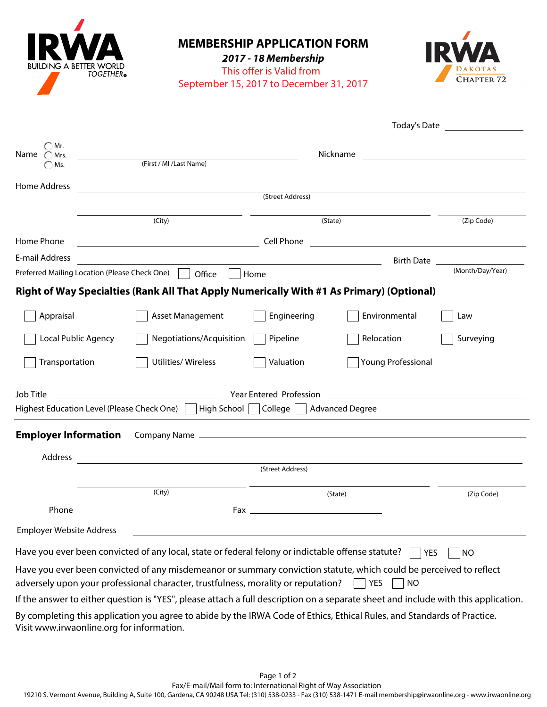| ILDING A BETTER WORLD<br><b>TOGETHER</b> <sup>®</sup> | <b>MEMBERSHIP APPLICATION FORM</b><br>2017 - 18 Membership<br>This offer is Valid from<br><b>CHAPTER 72</b><br>September 15, 2017 to December 31, 2017                                                                                |                                                                                                                       |                           |                             |  |  |  |
|-------------------------------------------------------|---------------------------------------------------------------------------------------------------------------------------------------------------------------------------------------------------------------------------------------|-----------------------------------------------------------------------------------------------------------------------|---------------------------|-----------------------------|--|--|--|
|                                                       |                                                                                                                                                                                                                                       |                                                                                                                       |                           | Today's Date <b>Example</b> |  |  |  |
| Mr.<br>Name $\subset$<br>Mrs.<br>$\bigcirc$ Ms.       | Nickname<br><u> 1980 - Andrea Andrew Maria (h. 1980).</u><br>(First / MI / Last Name)                                                                                                                                                 |                                                                                                                       |                           |                             |  |  |  |
| <b>Home Address</b>                                   |                                                                                                                                                                                                                                       | (Street Address)                                                                                                      |                           |                             |  |  |  |
|                                                       | (City)                                                                                                                                                                                                                                | (State)                                                                                                               | (Zip Code)                |                             |  |  |  |
| Home Phone                                            | <u> 1989 - Johann Barbara, martxa alemaniar a</u>                                                                                                                                                                                     | Cell Phone                                                                                                            |                           |                             |  |  |  |
| E-mail Address                                        |                                                                                                                                                                                                                                       |                                                                                                                       |                           | Birth Date                  |  |  |  |
| Preferred Mailing Location (Please Check One)         | Office                                                                                                                                                                                                                                | Home                                                                                                                  |                           | (Month/Day/Year)            |  |  |  |
|                                                       | Right of Way Specialties (Rank All That Apply Numerically With #1 As Primary) (Optional)                                                                                                                                              |                                                                                                                       |                           |                             |  |  |  |
| Appraisal                                             | Asset Management                                                                                                                                                                                                                      | Engineering                                                                                                           | Environmental             | Law                         |  |  |  |
| Local Public Agency                                   | Negotiations/Acquisition                                                                                                                                                                                                              | Pipeline                                                                                                              | Relocation                | Surveying                   |  |  |  |
| Transportation                                        | Utilities/ Wireless                                                                                                                                                                                                                   | Valuation                                                                                                             | <b>Young Professional</b> |                             |  |  |  |
| Job Title                                             |                                                                                                                                                                                                                                       | Year Entered Profession                                                                                               |                           |                             |  |  |  |
| Highest Education Level (Please Check One)            | High School College                                                                                                                                                                                                                   |                                                                                                                       | <b>Advanced Degree</b>    |                             |  |  |  |
|                                                       | <b>Employer Information</b> Company Name <b>Company Hame Company Name Company Company Company Company Company Company Company Company Company Company Company Company Company Company Company Company Company Company Company Com</b> |                                                                                                                       |                           |                             |  |  |  |
| Address                                               |                                                                                                                                                                                                                                       |                                                                                                                       |                           |                             |  |  |  |
| (Street Address)                                      |                                                                                                                                                                                                                                       |                                                                                                                       |                           |                             |  |  |  |
|                                                       | (City)                                                                                                                                                                                                                                | (State)                                                                                                               |                           | (Zip Code)                  |  |  |  |
|                                                       |                                                                                                                                                                                                                                       |                                                                                                                       |                           |                             |  |  |  |
| Employer Website Address                              |                                                                                                                                                                                                                                       | <u> 1989 - Johann Stoff, deutscher Stoff, der Stoff, der Stoff, der Stoff, der Stoff, der Stoff, der Stoff, der S</u> |                           |                             |  |  |  |
|                                                       | Have you ever been convicted of any local, state or federal felony or indictable offense statute? $\Box$ YES                                                                                                                          |                                                                                                                       |                           | $\overline{N}$              |  |  |  |
|                                                       | Have you ever been convicted of any misdemeanor or summary conviction statute, which could be perceived to reflect<br>adversely upon your professional character, trustfulness, morality or reputation? $\Box$                        |                                                                                                                       | YES  <br><b>NO</b>        |                             |  |  |  |
|                                                       | If the answer to either question is "YES", please attach a full description on a separate sheet and include with this application.                                                                                                    |                                                                                                                       |                           |                             |  |  |  |
| Visit www.irwaonline.org for information.             | By completing this application you agree to abide by the IRWA Code of Ethics, Ethical Rules, and Standards of Practice.                                                                                                               |                                                                                                                       |                           |                             |  |  |  |